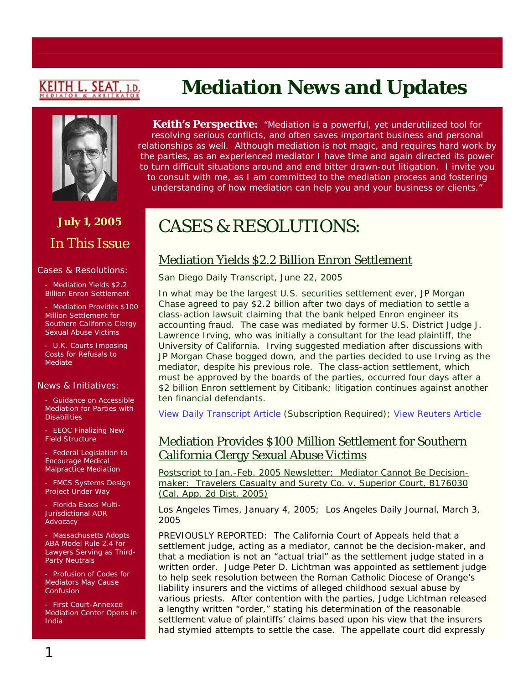# <u>KEITH L. SEAT,</u>



# **July 1, 2005**  In This Issue

#### Cases & Resolutions:

- Mediation Yields \$2.2 Billion Enron Settlement

Mediation Provides \$100 Million Settlement for Southern California Clergy Sexual Abuse Victims

U.K. Courts Imposing Costs for Refusals to Mediate

#### News & Initiatives:

Guidance on Accessible Mediation for Parties with **Disabilities** 

**EEOC Finalizing New** Field Structure

- Federal Legislation to Encourage Medical Malpractice Mediation

FMCS Systems Design Project Under Way

- Florida Eases Multi-Jurisdictional ADR Advocacy

- Massachusetts Adopts ABA Model Rule 2.4 for Lawyers Serving as Third-Party Neutrals

Profusion of Codes for Mediators May Cause **Confusion** 

- First Court-Annexed Mediation Center Opens in India

# **Mediation News and Updates**

**Keith's Perspective:** *"Mediation is a powerful, yet underutilized tool for resolving serious conflicts, and often saves important business and personal relationships as well. Although mediation is not magic, and requires hard work by the parties, as an experienced mediator I have time and again directed its power to turn difficult situations around and end bitter drawn-out litigation. I invite you to consult with me, as I am committed to the mediation process and fostering understanding of how mediation can help you and your business or clients."*

# CASES & RESOLUTIONS:

## Mediation Yields \$2.2 Billion Enron Settlement

#### *San Diego Daily Transcript*, June 22, 2005

In what may be the largest U.S. securities settlement ever, JP Morgan Chase agreed to pay \$2.2 billion after two days of mediation to settle a class-action lawsuit claiming that the bank helped Enron engineer its accounting fraud. The case was mediated by former U.S. District Judge J. Lawrence Irving, who was initially a consultant for the lead plaintiff, the University of California. Irving suggested mediation after discussions with JP Morgan Chase bogged down, and the parties decided to use Irving as the mediator, despite his previous role. The class-action settlement, which must be approved by the boards of the parties, occurred four days after a \$2 billion *Enron* settlement by Citibank; litigation continues against another ten financial defendants.

[View Daily Transcript Article](http://www.sddt.com/Law/article.cfm?SourceCode=20050622tbb) (Subscription Required); [View Reuters Article](http://biz.yahoo.com/rb/050614/financial_jpmorgan_enron.html?.v=6)

### Mediation Provides \$100 Million Settlement for Southern California Clergy Sexual Abuse Victims

Postscript to Jan.-Feb. 2005 Newsletter: Mediator Cannot Be Decisionmaker: *Travelers Casualty and Surety Co. v. Superior Court*, B176030 (Cal. App. 2d Dist. 2005)

*Los Angeles Times,* January 4, 2005; *Los Angeles Daily Journal*, March 3, 2005

PREVIOUSLY REPORTED: The California Court of Appeals held that a settlement judge, acting as a mediator, cannot be the decision-maker, and that a mediation is not an "actual trial" as the settlement judge stated in a written order. Judge Peter D. Lichtman was appointed as settlement judge to help seek resolution between the Roman Catholic Diocese of Orange's liability insurers and the victims of alleged childhood sexual abuse by various priests. After contention with the parties, Judge Lichtman released a lengthy written "order," stating his determination of the reasonable settlement value of plaintiffs' claims based upon his view that the insurers had stymied attempts to settle the case. The appellate court did expressly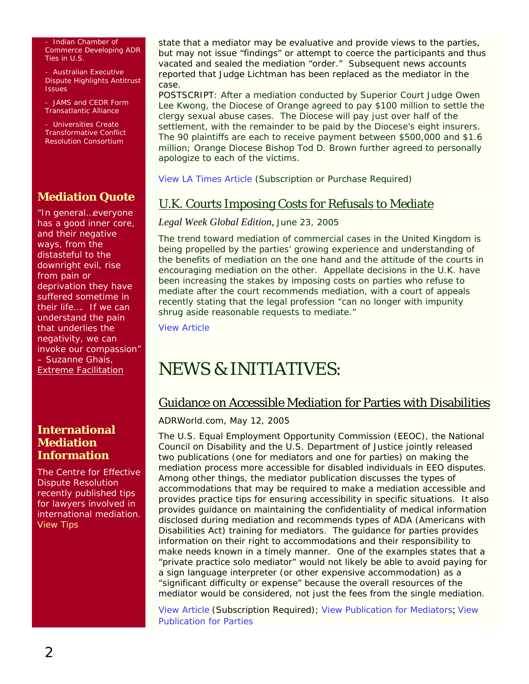Indian Chamber of Commerce Developing ADR Ties in U.S.

- Australian Executive Dispute Highlights Antitrust Issues

- JAMS and CEDR Form Transatlantic Alliance

- Universities Create Transformative Conflict Resolution Consortium

## **Mediation Quote**

"In general…everyone has a good inner core, and their negative ways, from the distasteful to the downright evil, rise from pain or deprivation they have suffered sometime in their life…. If we can understand the pain that underlies the negativity, we can invoke our compassion" – Suzanne Ghais, Extreme Facilitation

#### **International Mediation Information**

The Centre for Effective Dispute Resolution recently published tips for lawyers involved in international mediation. [View Tips](http://www.cedr.co.uk/index.php?location=/library/articles/tips_lawyers_intmed.htm)

state that a mediator may be evaluative and provide views to the parties, but may not issue "findings" or attempt to coerce the participants and thus vacated and sealed the mediation "order." Subsequent news accounts reported that Judge Lichtman has been replaced as the mediator in the case.

POSTSCRIPT: After a mediation conducted by Superior Court Judge Owen Lee Kwong, the Diocese of Orange agreed to pay \$100 million to settle the clergy sexual abuse cases. The Diocese will pay just over half of the settlement, with the remainder to be paid by the Diocese's eight insurers. The 90 plaintiffs are each to receive payment between \$500,000 and \$1.6 million; Orange Diocese Bishop Tod D. Brown further agreed to personally apologize to each of the victims.

[View LA Times Article](http://pqasb.pqarchiver.com/latimes/773637861.html?did=773637861&FMT=ABS&FMTS=FT&date=Jan+4%2C+2005&author=Jean+Guccione&pub=Los+Angeles+Times&desc=CALIFORNIA%3B+Orange+Bishop+to+Apologize+in+Huge+Abuse+Settlement%3B+A+record-setting+%24100-millio) (Subscription or Purchase Required)

## U.K. Courts Imposing Costs for Refusals to Mediate

#### *Legal Week Global Edition*, June 23, 2005

The trend toward mediation of commercial cases in the United Kingdom is being propelled by the parties' growing experience and understanding of the benefits of mediation on the one hand and the attitude of the courts in encouraging mediation on the other. Appellate decisions in the U.K. have been increasing the stakes by imposing costs on parties who refuse to mediate after the court recommends mediation, with a court of appeals recently stating that the legal profession "can no longer with impunity shrug aside reasonable requests to mediate."

[View Article](http://www.legalweek.com/ViewItem.asp?id=24640)

# NEWS & INITIATIVES:

## Guidance on Accessible Mediation for Parties with Disabilities

#### *ADRWorld.com*, May 12, 2005

The U.S. Equal Employment Opportunity Commission (EEOC), the National Council on Disability and the U.S. Department of Justice jointly released two publications (one for mediators and one for parties) on making the mediation process more accessible for disabled individuals in EEO disputes. Among other things, the mediator publication discusses the types of accommodations that may be required to make a mediation accessible and provides practice tips for ensuring accessibility in specific situations. It also provides guidance on maintaining the confidentiality of medical information disclosed during mediation and recommends types of ADA (Americans with Disabilities Act) training for mediators. The guidance for parties provides information on their right to accommodations and their responsibility to make needs known in a timely manner. One of the examples states that a "private practice solo mediator" would not likely be able to avoid paying for a sign language interpreter (or other expensive accommodation) as a "significant difficulty or expense" because the overall resources of the mediator would be considered, not just the fees from the single mediation.

[View Article](http://www.adrworld.com/sp.asp?id=38490) (Subscription Required); [View Publication for Mediators](http://www.ncd.gov/newsroom/publications/2005/ada_mediators.htm); [View](http://www.ncd.gov/newsroom/publications/2005/ada_parties.htm)  [Publication for Parties](http://www.ncd.gov/newsroom/publications/2005/ada_parties.htm)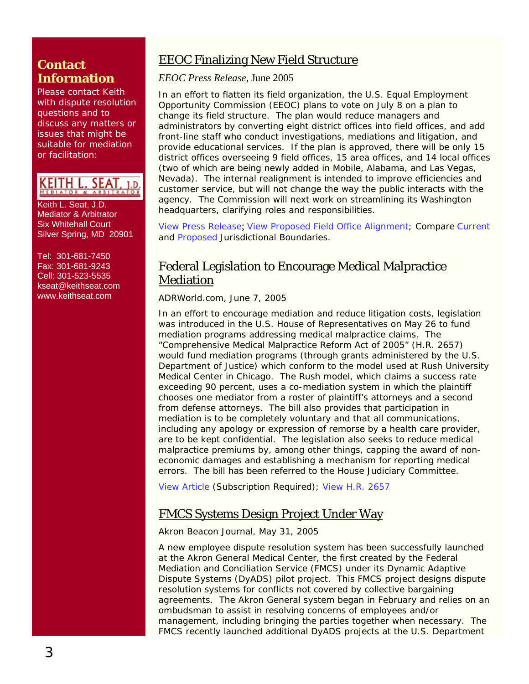## **Contact Information**

Please contact Keith with dispute resolution questions and to discuss any matters or issues that might be suitable for mediation or facilitation:

KEITH L. SEAT, 1.d.

Keith L. Seat, J.D. Mediator & Arbitrator Six Whitehall Court Silver Spring, MD 20901

Tel: 301-681-7450 Fax: 301-681-9243 Cell: 301-523-5535 [kseat@keithseat.com](mailto:kseat@keithseat.com) [www.keithseat.com](http://www.keithseat.com/)

## EEOC Finalizing New Field Structure

*EEOC Press Release*, June 2005

In an effort to flatten its field organization, the U.S. Equal Employment Opportunity Commission (EEOC) plans to vote on July 8 on a plan to change its field structure. The plan would reduce managers and administrators by converting eight district offices into field offices, and add front-line staff who conduct investigations, mediations and litigation, and provide educational services. If the plan is approved, there will be only 15 district offices overseeing 9 field offices, 15 area offices, and 14 local offices (two of which are being newly added in Mobile, Alabama, and Las Vegas, Nevada). The internal realignment is intended to improve efficiencies and customer service, but will not change the way the public interacts with the agency. The Commission will next work on streamlining its Washington headquarters, clarifying roles and responsibilities.

[View Press Release](http://www.eeoc.gov/abouteeoc/reposition/plan.html); [View Proposed Field Office Alignment](http://www.eeoc.gov/abouteeoc/reposition/fo-alignment.html); Compare [Current](http://www.eeoc.gov/abouteeoc/reposition/jurisdictioncurrent.html) and [Proposed](http://www.eeoc.gov/abouteeoc/reposition/jurisdictionproposed.html) Jurisdictional Boundaries.

## Federal Legislation to Encourage Medical Malpractice Mediation

*ADRWorld.com*, June 7, 2005

In an effort to encourage mediation and reduce litigation costs, legislation was introduced in the U.S. House of Representatives on May 26 to fund mediation programs addressing medical malpractice claims. The "Comprehensive Medical Malpractice Reform Act of 2005" (H.R. 2657) would fund mediation programs (through grants administered by the U.S. Department of Justice) which conform to the model used at Rush University Medical Center in Chicago. The Rush model, which claims a success rate exceeding 90 percent, uses a co-mediation system in which the plaintiff chooses one mediator from a roster of plaintiff's attorneys and a second from defense attorneys. The bill also provides that participation in mediation is to be completely voluntary and that all communications, including any apology or expression of remorse by a health care provider, are to be kept confidential. The legislation also seeks to reduce medical malpractice premiums by, among other things, capping the award of noneconomic damages and establishing a mechanism for reporting medical errors. The bill has been referred to the House Judiciary Committee.

[View Article](http://www.adrworld.com/sp.asp?id=38490) (Subscription Required); [View H.R. 2657](http://thomas.loc.gov/)

## FMCS Systems Design Project Under Way

#### *Akron Beacon Journal*, May 31, 2005

A new employee dispute resolution system has been successfully launched at the Akron General Medical Center, the first created by the Federal Mediation and Conciliation Service (FMCS) under its Dynamic Adaptive Dispute Systems (DyADS) pilot project. This FMCS project designs dispute resolution systems for conflicts *not* covered by collective bargaining agreements. The Akron General system began in February and relies on an ombudsman to assist in resolving concerns of employees and/or management, including bringing the parties together when necessary. The FMCS recently launched additional DyADS projects at the U.S. Department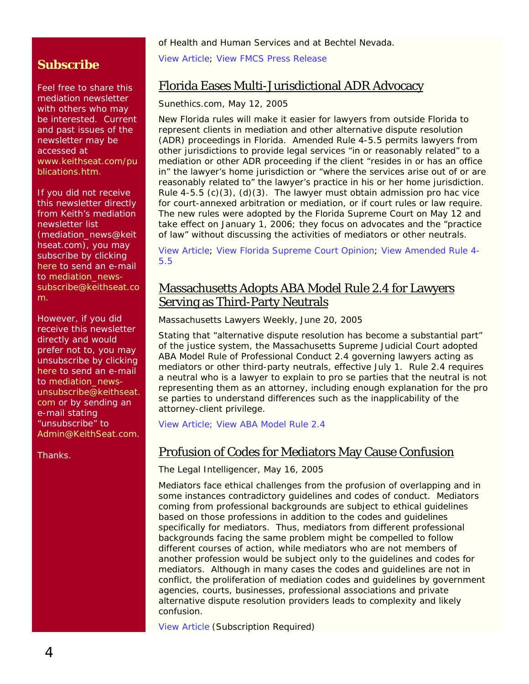of Health and Human Services and at Bechtel Nevada.

[View Article;](http://www.ohio.com/mld/beaconjournal/11777331.htm) [View FMCS Press Release](http://www.fmcs.gov/internet_text_only/itemDetail.asp?categoryID=39&itemID=19312)

## Florida Eases Multi-Jurisdictional ADR Advocacy

#### *Sunethics.com*, May 12, 2005

New Florida rules will make it easier for lawyers from outside Florida to represent clients in mediation and other alternative dispute resolution (ADR) proceedings in Florida. Amended Rule 4-5.5 permits lawyers from other jurisdictions to provide legal services "in or reasonably related" to a mediation or other ADR proceeding if the client "resides in or has an office in" the lawyer's home jurisdiction or "where the services arise out of or are reasonably related to" the lawyer's practice in his or her home jurisdiction. Rule 4-5.5 (c)(3), (d)(3). The lawyer must obtain admission *pro hac vice* for court-annexed arbitration or mediation, or if court rules or law require. The new rules were adopted by the Florida Supreme Court on May 12 and take effect on January 1, 2006; they focus on advocates and the "practice of law" without discussing the activities of mediators or other neutrals.

[View Article;](http://www.sunethics.com/news_item_6.htm) [View Florida Supreme Court Opinion](http://www.floridasupremecourt.org/decisions/2005/sc04-135.pdf); [View Amended Rule 4-](http://www.sunethics.com/4-5_5_new.htm) [5.5](http://www.sunethics.com/4-5_5_new.htm)

## Massachusetts Adopts ABA Model Rule 2.4 for Lawyers Serving as Third-Party Neutrals

*Massachusetts Lawyers Weekly,* June 20, 2005

Stating that "alternative dispute resolution has become a substantial part" of the justice system, the Massachusetts Supreme Judicial Court adopted ABA Model Rule of Professional Conduct 2.4 governing lawyers acting as mediators or other third-party neutrals, effective July 1. Rule 2.4 requires a neutral who is a lawyer to explain to *pro se* parties that the neutral is not representing them as an attorney, including enough explanation for the *pro se* parties to understand differences such as the inapplicability of the attorney-client privilege.

[View Article;](http://www.masslawyersweekly.com/subscriber/archives_FTS.cfm?page=ma/05/6200530.htm&recID=340065&QueryText=2%2E4) [View ABA Model Rule 2.4](http://www.law.cornell.edu/ethics/aba/current/CRule_2.4.htm)

## Profusion of Codes for Mediators May Cause Confusion

*The Legal Intelligencer*, May 16, 2005

Mediators face ethical challenges from the profusion of overlapping and in some instances contradictory guidelines and codes of conduct. Mediators coming from professional backgrounds are subject to ethical guidelines based on those professions in addition to the codes and guidelines specifically for mediators. Thus, mediators from different professional backgrounds facing the same problem might be compelled to follow different courses of action, while mediators who are not members of another profession would be subject only to the guidelines and codes for mediators. Although in many cases the codes and guidelines are not in conflict, the proliferation of mediation codes and guidelines by government agencies, courts, businesses, professional associations and private alternative dispute resolution providers leads to complexity and likely confusion.

[View Article](http://www.law.com/jsp/pa/PubArticlePA.jsp?id=1116147905004) (Subscription Required)

# **Subscribe**

Feel free to share this mediation newsletter with others who may be interested. Current and past issues of the newsletter may be accessed at www.keithseat.com/pu blications.htm.

If you did not receive this newsletter directly from Keith's mediation newsletter list (mediation\_news@keit hseat.com), you may subscribe by clicking [here](mailto:mediation_news-subscribe@keithseat.com) to send an e-mail to [mediation\\_news](mailto:mediation_news-subscribe@keithseat.com)[subscribe@keithseat.co](mailto:mediation_news-subscribe@keithseat.com) [m.](mailto:mediation_news-subscribe@keithseat.com)

However, if you did receive this newsletter directly and would prefer not to, you may unsubscribe by clicking [here](mailto:mediation_news-unsubscribe@keithseat.com) to send an e-mail to mediation news[unsubscribe@keithseat.](mailto:mediation_news-unsubscribe@keithseat.com) [com](mailto:mediation_news-unsubscribe@keithseat.com) or by sending an e-mail stating "unsubscribe" to [Admin@KeithSeat.com](mailto:Admin@KeithSeat.com).

Thanks.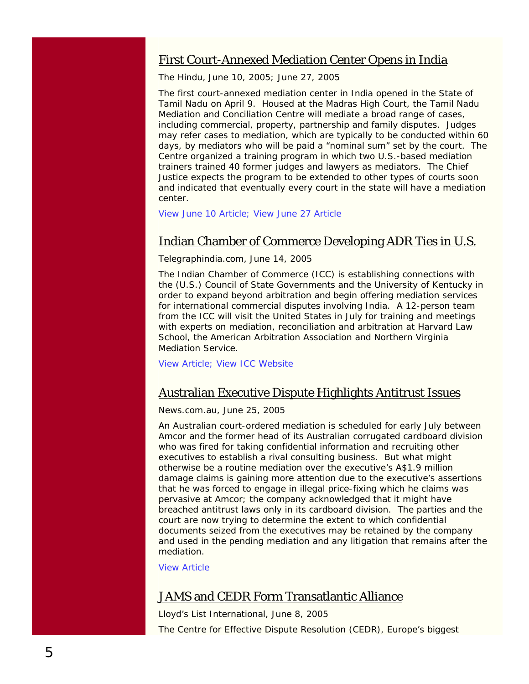### First Court-Annexed Mediation Center Opens in India

*The Hindu,* June 10, 2005; June 27, 2005

The first court-annexed mediation center in India opened in the State of Tamil Nadu on April 9. Housed at the Madras High Court, the Tamil Nadu Mediation and Conciliation Centre will mediate a broad range of cases, including commercial, property, partnership and family disputes. Judges may refer cases to mediation, which are typically to be conducted within 60 days, by mediators who will be paid a "nominal sum" set by the court. The Centre organized a training program in which two U.S.-based mediation trainers trained 40 former judges and lawyers as mediators. The Chief Justice expects the program to be extended to other types of courts soon and indicated that eventually every court in the state will have a mediation center.

[View June 10 Article;](http://www.hindu.com/2005/06/10/stories/2005061007791100.htm) [View June 27 Article](http://www.hindu.com/2005/06/27/stories/2005062713170800.htm)

### Indian Chamber of Commerce Developing ADR Ties in U.S.

#### *Telegraphindia.com,* June 14, 2005

The Indian Chamber of Commerce (ICC) is establishing connections with the (U.S.) Council of State Governments and the University of Kentucky in order to expand beyond arbitration and begin offering mediation services for international commercial disputes involving India. A 12-person team from the ICC will visit the United States in July for training and meetings with experts on mediation, reconciliation and arbitration at Harvard Law School, the American Arbitration Association and Northern Virginia Mediation Service.

[View Article;](http://www.telegraphindia.com/1050614/asp/calcutta/story_4862878.asp) [View ICC Website](http://www.indianchamber.org/)

#### Australian Executive Dispute Highlights Antitrust Issues

#### *News.com.au,* June 25, 2005

An Australian court-ordered mediation is scheduled for early July between Amcor and the former head of its Australian corrugated cardboard division who was fired for taking confidential information and recruiting other executives to establish a rival consulting business. But what might otherwise be a routine mediation over the executive's A\$1.9 million damage claims is gaining more attention due to the executive's assertions that he was forced to engage in illegal price-fixing which he claims was pervasive at Amcor; the company acknowledged that it might have breached antitrust laws only in its cardboard division. The parties and the court are now trying to determine the extent to which confidential documents seized from the executives may be retained by the company and used in the pending mediation and any litigation that remains after the mediation.

[View Article](http://finance.news.com.au/story/0,10166,15721075-462,00.html)

#### JAMS and CEDR Form Transatlantic Alliance

*Lloyd's List International*, June 8, 2005 The Centre for Effective Dispute Resolution (CEDR), Europe's biggest